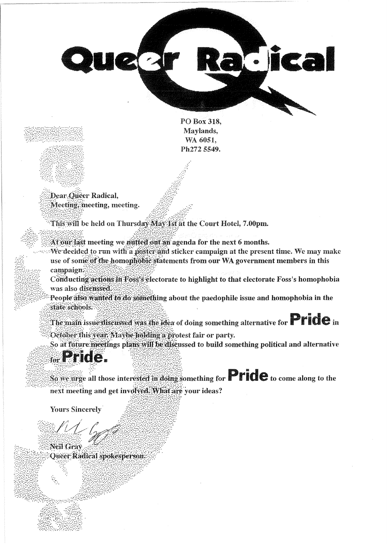

PO Box 318. Maylands, WA 6051. Ph272 5549.

Dear Queer Radical, Meeting, meeting, meeting.

This will be held on Thursday May 1st at the Court Hotel, 7.00pm.

At our last meeting we nutted out an agenda for the next 6 months.

We decided to run with a poster and sticker campaign at the present time. We may make use of some of the homophobic statements from our WA government members in this campaign:

Conducting actions in Foss's electorate to highlight to that electorate Foss's homophobia was also disenssed.

People also wanted to do something about the paedophile issue and homophobia in the state schools.

The main issue discussed was the idea of doing something alternative for  $\mathbf{Pric}$  and

October this year. Maybe holding a protest fair or party.

So at future meetings plans will be discussed to build something political and alternative

## **Eride.**

So we urge all those interested in doing something for **Pride** to come along to the next meeting and get involved. What are your ideas?

**Yours Sincerely** 

Neil Grav

Queer Radical spokesperson



 $\frac{1}{2}$